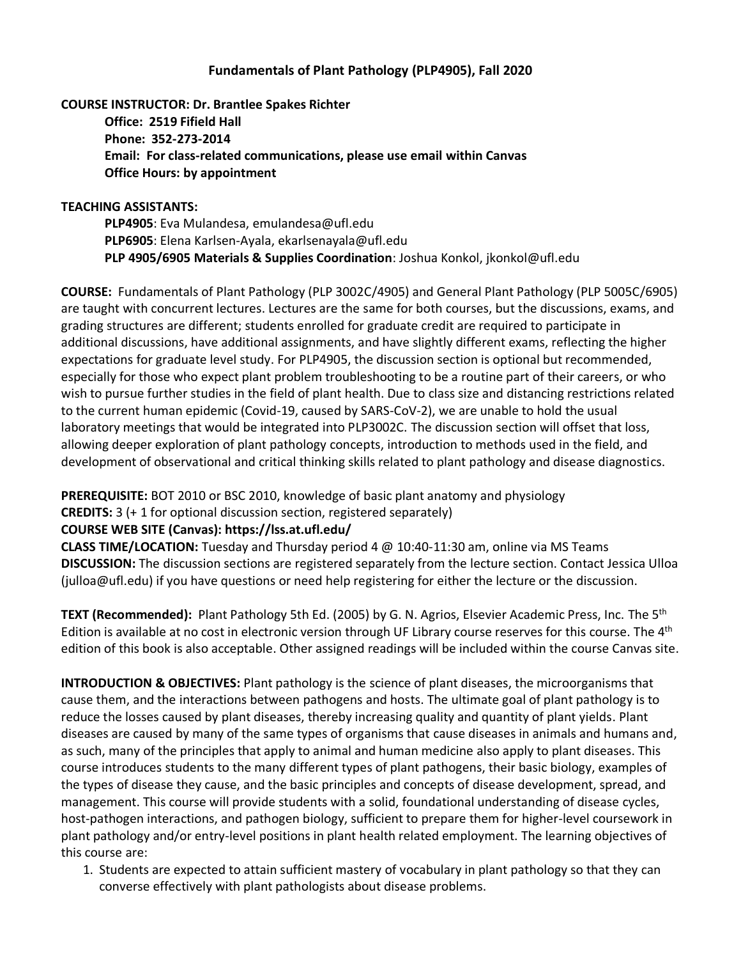### **Fundamentals of Plant Pathology (PLP4905), Fall 2020**

## **COURSE INSTRUCTOR: Dr. Brantlee Spakes Richter Office: 2519 Fifield Hall Phone: 352-273-2014 Email: For class-related communications, please use email within Canvas Office Hours: by appointment**

#### **TEACHING ASSISTANTS:**

**PLP4905**: Eva Mulandesa, emulandesa@ufl.edu **PLP6905**: Elena Karlsen-Ayala, ekarlsenayala@ufl.edu **PLP 4905/6905 Materials & Supplies Coordination**: Joshua Konkol, jkonkol@ufl.edu

**COURSE:** Fundamentals of Plant Pathology (PLP 3002C/4905) and General Plant Pathology (PLP 5005C/6905) are taught with concurrent lectures. Lectures are the same for both courses, but the discussions, exams, and grading structures are different; students enrolled for graduate credit are required to participate in additional discussions, have additional assignments, and have slightly different exams, reflecting the higher expectations for graduate level study. For PLP4905, the discussion section is optional but recommended, especially for those who expect plant problem troubleshooting to be a routine part of their careers, or who wish to pursue further studies in the field of plant health. Due to class size and distancing restrictions related to the current human epidemic (Covid-19, caused by SARS-CoV-2), we are unable to hold the usual laboratory meetings that would be integrated into PLP3002C. The discussion section will offset that loss, allowing deeper exploration of plant pathology concepts, introduction to methods used in the field, and development of observational and critical thinking skills related to plant pathology and disease diagnostics.

**PREREQUISITE:** BOT 2010 or BSC 2010, knowledge of basic plant anatomy and physiology

**CREDITS:** 3 (+ 1 for optional discussion section, registered separately)

#### **COURSE WEB SITE (Canvas): https://lss.at.ufl.edu/**

**CLASS TIME/LOCATION:** Tuesday and Thursday period 4 @ 10:40-11:30 am, online via MS Teams **DISCUSSION:** The discussion sections are registered separately from the lecture section. Contact Jessica Ulloa (julloa@ufl.edu) if you have questions or need help registering for either the lecture or the discussion.

**TEXT (Recommended):** Plant Pathology 5th Ed. (2005) by G. N. Agrios, Elsevier Academic Press, Inc. The 5th Edition is available at no cost in electronic version through UF Library course reserves for this course. The 4<sup>th</sup> edition of this book is also acceptable. Other assigned readings will be included within the course Canvas site.

**INTRODUCTION & OBJECTIVES:** Plant pathology is the science of plant diseases, the microorganisms that cause them, and the interactions between pathogens and hosts. The ultimate goal of plant pathology is to reduce the losses caused by plant diseases, thereby increasing quality and quantity of plant yields. Plant diseases are caused by many of the same types of organisms that cause diseases in animals and humans and, as such, many of the principles that apply to animal and human medicine also apply to plant diseases. This course introduces students to the many different types of plant pathogens, their basic biology, examples of the types of disease they cause, and the basic principles and concepts of disease development, spread, and management. This course will provide students with a solid, foundational understanding of disease cycles, host-pathogen interactions, and pathogen biology, sufficient to prepare them for higher-level coursework in plant pathology and/or entry-level positions in plant health related employment. The learning objectives of this course are:

1. Students are expected to attain sufficient mastery of vocabulary in plant pathology so that they can converse effectively with plant pathologists about disease problems.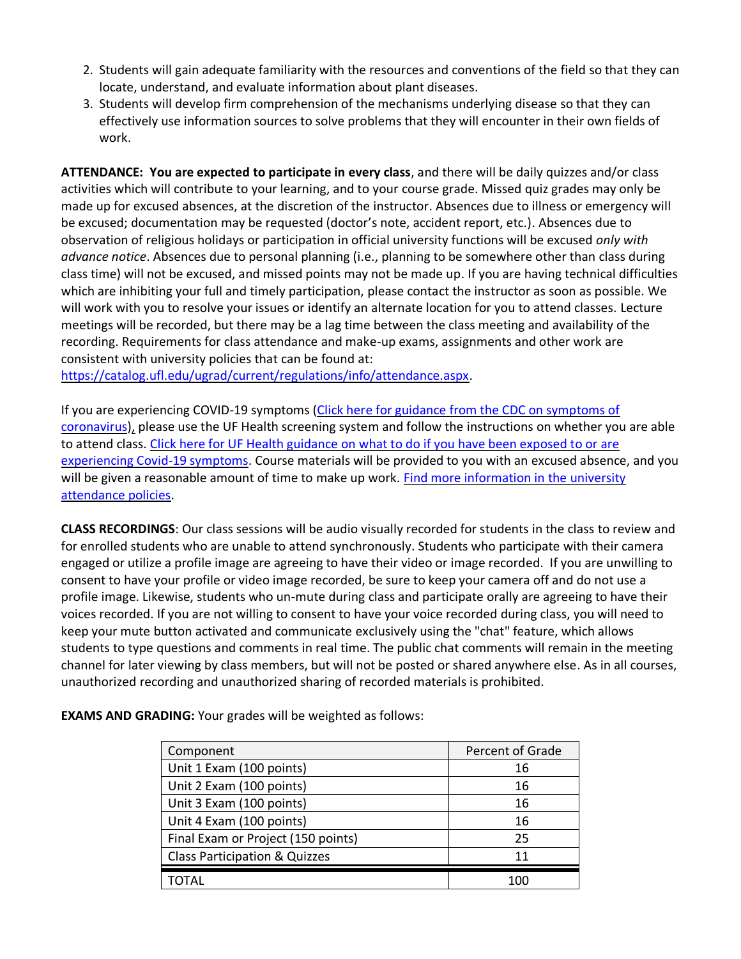- 2. Students will gain adequate familiarity with the resources and conventions of the field so that they can locate, understand, and evaluate information about plant diseases.
- 3. Students will develop firm comprehension of the mechanisms underlying disease so that they can effectively use information sources to solve problems that they will encounter in their own fields of work.

**ATTENDANCE: You are expected to participate in every class**, and there will be daily quizzes and/or class activities which will contribute to your learning, and to your course grade. Missed quiz grades may only be made up for excused absences, at the discretion of the instructor. Absences due to illness or emergency will be excused; documentation may be requested (doctor's note, accident report, etc.). Absences due to observation of religious holidays or participation in official university functions will be excused *only with advance notice*. Absences due to personal planning (i.e., planning to be somewhere other than class during class time) will not be excused, and missed points may not be made up. If you are having technical difficulties which are inhibiting your full and timely participation, please contact the instructor as soon as possible. We will work with you to resolve your issues or identify an alternate location for you to attend classes. Lecture meetings will be recorded, but there may be a lag time between the class meeting and availability of the recording. Requirements for class attendance and make-up exams, assignments and other work are consistent with university policies that can be found at:

[https://catalog.ufl.edu/ugrad/current/regulations/info/attendance.aspx.](https://catalog.ufl.edu/ugrad/current/regulations/info/attendance.aspx)

If you are experiencing COVID-19 symptoms [\(Click here for guidance from the CDC on symptoms of](https://www.cdc.gov/coronavirus/2019-ncov/symptoms-testing/symptoms.html) [coronavirus\)](https://www.cdc.gov/coronavirus/2019-ncov/symptoms-testing/symptoms.html), please use the UF Health screening system and follow the instructions on whether you are able to attend class. [Click here for UF Health guidance on what to do if you have been exposed to or are](https://coronavirus.ufhealth.org/screen-test-protect/covid-19-exposure-and-symptoms-who-do-i-call-if/)  [experiencing Covid-19 symptoms.](https://coronavirus.ufhealth.org/screen-test-protect/covid-19-exposure-and-symptoms-who-do-i-call-if/) Course materials will be provided to you with an excused absence, and you will be given a reasonable amount of time to make up work. Find more information in the university [attendance policies.](https://catalog.ufl.edu/UGRD/academic-regulations/attendance-policies/)

**CLASS RECORDINGS**: Our class sessions will be audio visually recorded for students in the class to review and for enrolled students who are unable to attend synchronously. Students who participate with their camera engaged or utilize a profile image are agreeing to have their video or image recorded. If you are unwilling to consent to have your profile or video image recorded, be sure to keep your camera off and do not use a profile image. Likewise, students who un-mute during class and participate orally are agreeing to have their voices recorded. If you are not willing to consent to have your voice recorded during class, you will need to keep your mute button activated and communicate exclusively using the "chat" feature, which allows students to type questions and comments in real time. The public chat comments will remain in the meeting channel for later viewing by class members, but will not be posted or shared anywhere else. As in all courses, unauthorized recording and unauthorized sharing of recorded materials is prohibited.

| Component                                | Percent of Grade |
|------------------------------------------|------------------|
| Unit 1 Exam (100 points)                 | 16               |
| Unit 2 Exam (100 points)                 | 16               |
| Unit 3 Exam (100 points)                 | 16               |
| Unit 4 Exam (100 points)                 | 16               |
| Final Exam or Project (150 points)       | 25               |
| <b>Class Participation &amp; Quizzes</b> | 11               |
|                                          |                  |

**EXAMS AND GRADING:** Your grades will be weighted as follows: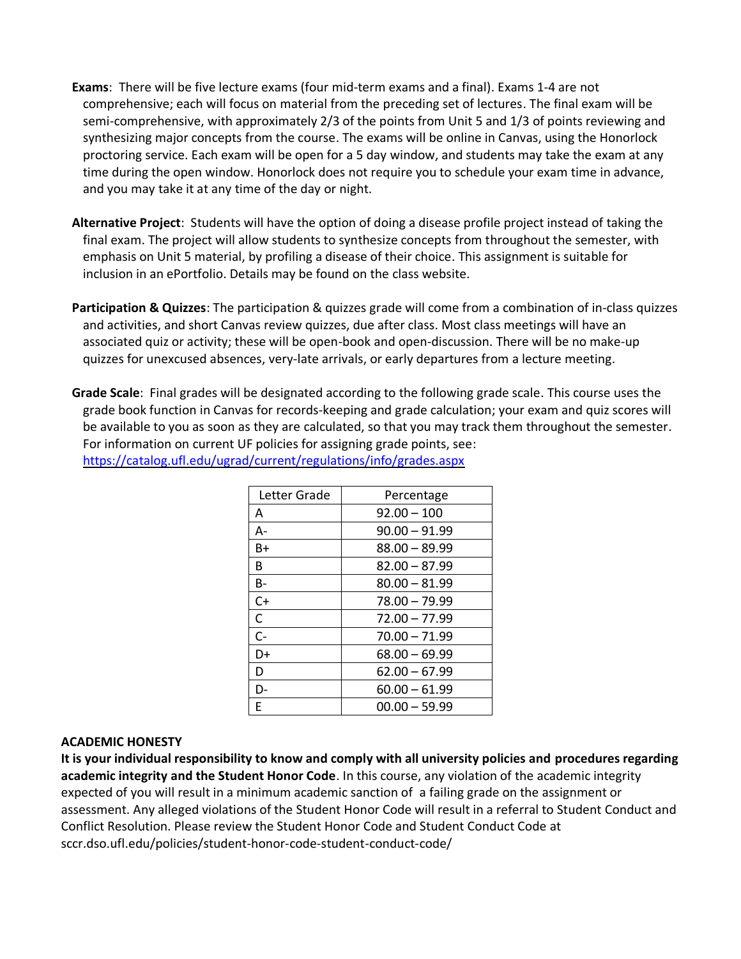- **Exams**: There will be five lecture exams (four mid-term exams and a final). Exams 1-4 are not comprehensive; each will focus on material from the preceding set of lectures. The final exam will be semi-comprehensive, with approximately 2/3 of the points from Unit 5 and 1/3 of points reviewing and synthesizing major concepts from the course. The exams will be online in Canvas, using the Honorlock proctoring service. Each exam will be open for a 5 day window, and students may take the exam at any time during the open window. Honorlock does not require you to schedule your exam time in advance, and you may take it at any time of the day or night.
- **Alternative Project**: Students will have the option of doing a disease profile project instead of taking the final exam. The project will allow students to synthesize concepts from throughout the semester, with emphasis on Unit 5 material, by profiling a disease of their choice. This assignment is suitable for inclusion in an ePortfolio. Details may be found on the class website.
- **Participation & Quizzes**: The participation & quizzes grade will come from a combination of in-class quizzes and activities, and short Canvas review quizzes, due after class. Most class meetings will have an associated quiz or activity; these will be open-book and open-discussion. There will be no make-up quizzes for unexcused absences, very-late arrivals, or early departures from a lecture meeting.
- **Grade Scale**: Final grades will be designated according to the following grade scale. This course uses the grade book function in Canvas for records-keeping and grade calculation; your exam and quiz scores will be available to you as soon as they are calculated, so that you may track them throughout the semester. For information on current UF policies for assigning grade points, see: <https://catalog.ufl.edu/ugrad/current/regulations/info/grades.aspx>

| Letter Grade | Percentage      |
|--------------|-----------------|
| A            | $92.00 - 100$   |
| А-           | $90.00 - 91.99$ |
| B+           | $88.00 - 89.99$ |
| B            | $82.00 - 87.99$ |
| B-           | $80.00 - 81.99$ |
| $C+$         | $78.00 - 79.99$ |
| C            | $72.00 - 77.99$ |
| $C -$        | $70.00 - 71.99$ |
| D+           | $68.00 - 69.99$ |
| D            | $62.00 - 67.99$ |
| D-           | $60.00 - 61.99$ |
| F            | $00.00 - 59.99$ |

#### **ACADEMIC HONESTY**

**It is your individual responsibility to know and comply with all university policies and procedures regarding academic integrity and the Student Honor Code**. In this course, any violation of the academic integrity expected of you will result in a minimum academic sanction of a failing grade on the assignment or assessment. Any alleged violations of the Student Honor Code will result in a referral to Student Conduct and Conflict Resolution. Please review the Student Honor Code and Student Conduct Code at sccr.dso.ufl.edu/policies/student-honor-code-student-conduct-code/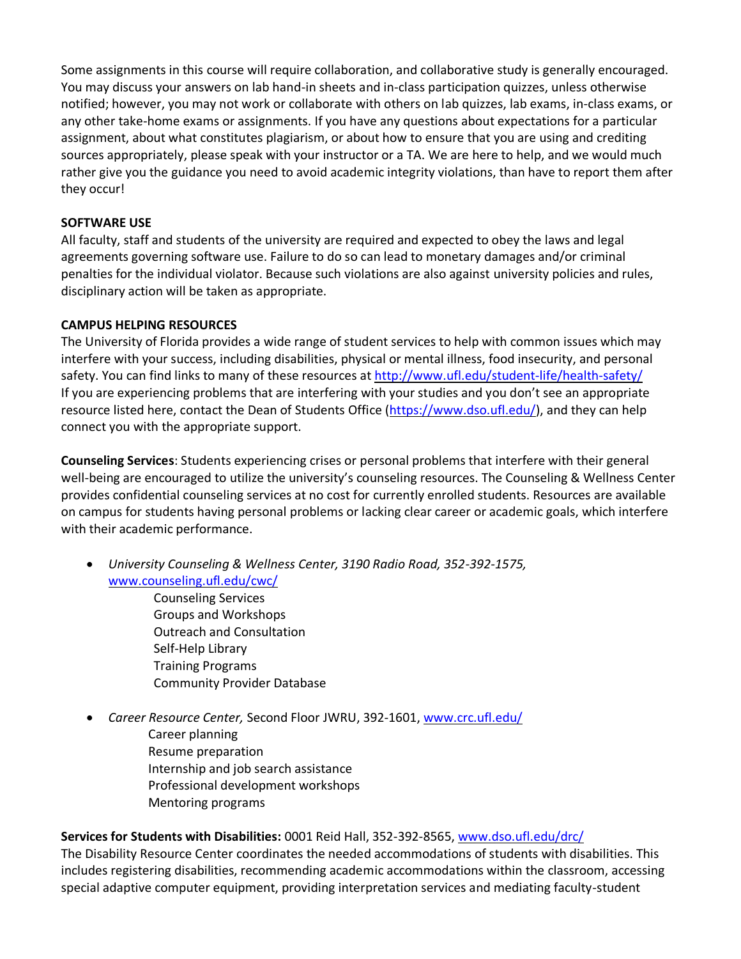Some assignments in this course will require collaboration, and collaborative study is generally encouraged. You may discuss your answers on lab hand-in sheets and in-class participation quizzes, unless otherwise notified; however, you may not work or collaborate with others on lab quizzes, lab exams, in-class exams, or any other take-home exams or assignments. If you have any questions about expectations for a particular assignment, about what constitutes plagiarism, or about how to ensure that you are using and crediting sources appropriately, please speak with your instructor or a TA. We are here to help, and we would much rather give you the guidance you need to avoid academic integrity violations, than have to report them after they occur!

#### **SOFTWARE USE**

All faculty, staff and students of the university are required and expected to obey the laws and legal agreements governing software use. Failure to do so can lead to monetary damages and/or criminal penalties for the individual violator. Because such violations are also against university policies and rules, disciplinary action will be taken as appropriate.

#### **CAMPUS HELPING RESOURCES**

The University of Florida provides a wide range of student services to help with common issues which may interfere with your success, including disabilities, physical or mental illness, food insecurity, and personal safety. You can find links to many of these resources a[t http://www.ufl.edu/student-life/health-safety/](http://www.ufl.edu/student-life/health-safety/) If you are experiencing problems that are interfering with your studies and you don't see an appropriate resource listed here, contact the Dean of Students Office [\(https://www.dso.ufl.edu/\)](https://www.dso.ufl.edu/), and they can help connect you with the appropriate support.

**Counseling Services**: Students experiencing crises or personal problems that interfere with their general well-being are encouraged to utilize the university's counseling resources. The Counseling & Wellness Center provides confidential counseling services at no cost for currently enrolled students. Resources are available on campus for students having personal problems or lacking clear career or academic goals, which interfere with their academic performance.

• *University Counseling & Wellness Center, 3190 Radio Road, 352-392-1575,* [www.counseling.ufl.edu/cwc/](http://www.counseling.ufl.edu/cwc/)

Counseling Services Groups and Workshops Outreach and Consultation Self-Help Library Training Programs Community Provider Database

• *Career Resource Center,* Second Floor JWRU, 392-1601, [www.crc.ufl.edu/](http://www.crc.ufl.edu/) Career planning Resume preparation Internship and job search assistance Professional development workshops Mentoring programs

**Services for Students with Disabilities:** 0001 Reid Hall, 352-392-8565[, www.dso.ufl.edu/drc/](http://www.dso.ufl.edu/drc/) 

The Disability Resource Center coordinates the needed accommodations of students with disabilities. This includes registering disabilities, recommending academic accommodations within the classroom, accessing special adaptive computer equipment, providing interpretation services and mediating faculty-student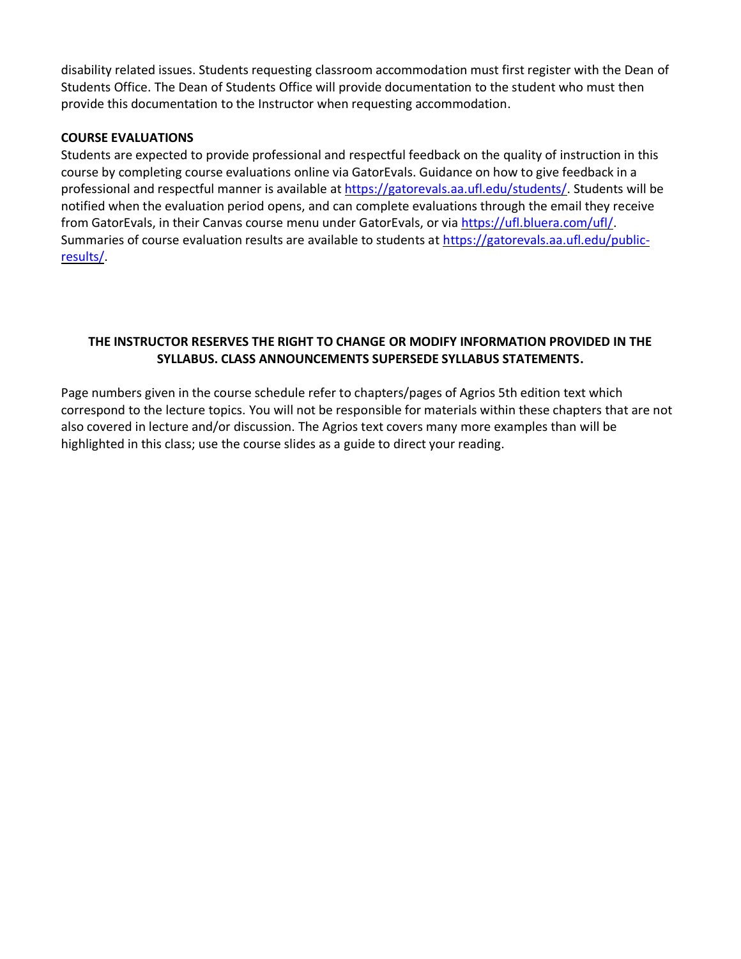disability related issues. Students requesting classroom accommodation must first register with the Dean of Students Office. The Dean of Students Office will provide documentation to the student who must then provide this documentation to the Instructor when requesting accommodation.

#### **COURSE EVALUATIONS**

Students are expected to provide professional and respectful feedback on the quality of instruction in this course by completing course evaluations online via GatorEvals. Guidance on how to give feedback in a professional and respectful manner is available at [https://gatorevals.aa.ufl.edu/students/.](https://gatorevals.aa.ufl.edu/students/) Students will be notified when the evaluation period opens, and can complete evaluations through the email they receive from GatorEvals, in their Canvas course menu under GatorEvals, or via [https://ufl.bluera.com/ufl/.](https://urldefense.proofpoint.com/v2/url?u=https-3A__ufl.bluera.com_ufl_&d=DwMFAg&c=sJ6xIWYx-zLMB3EPkvcnVg&r=y2HjEMjRMHJhfdvLrqJZlYczRsfp5e4TfQjHuc5rVHg&m=WXko6OK_Ha6T00ZVAsEaSh99qRXHOgMNFRywCoehRho&s=itVU46DDJjnIg4CW6efJOOLgPjdzsPvCghyfzJoFONs&e=) Summaries of course evaluation results are available to students at [https://gatorevals.aa.ufl.edu/public](https://gatorevals.aa.ufl.edu/public-results/)[results/.](https://gatorevals.aa.ufl.edu/public-results/)

## **THE INSTRUCTOR RESERVES THE RIGHT TO CHANGE OR MODIFY INFORMATION PROVIDED IN THE SYLLABUS. CLASS ANNOUNCEMENTS SUPERSEDE SYLLABUS STATEMENTS.**

Page numbers given in the course schedule refer to chapters/pages of Agrios 5th edition text which correspond to the lecture topics. You will not be responsible for materials within these chapters that are not also covered in lecture and/or discussion. The Agrios text covers many more examples than will be highlighted in this class; use the course slides as a guide to direct your reading.